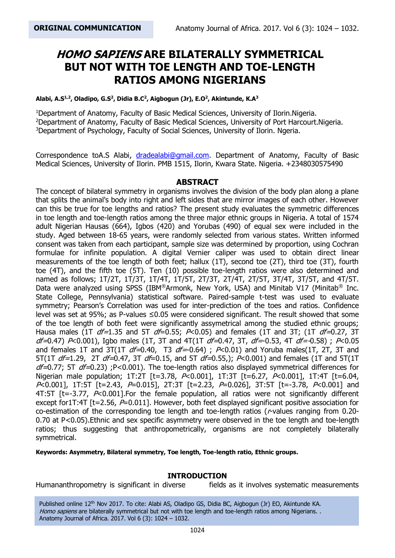# **HOMO SAPIENS ARE BILATERALLY SYMMETRICAL BUT NOT WITH TOE LENGTH AND TOE-LENGTH RATIOS AMONG NIGERIANS**

#### **Alabi, A.S1,2 , Oladipo, G.S<sup>2</sup> , Didia B.C<sup>2</sup> , Aigbogun (Jr), E.O<sup>2</sup> , Akintunde, K.A<sup>3</sup>**

<sup>1</sup>Department of Anatomy, Faculty of Basic Medical Sciences, University of Ilorin.Nigeria. <sup>2</sup>Department of Anatomy, Faculty of Basic Medical Sciences, University of Port Harcourt. Nigeria. <sup>3</sup>Department of Psychology, Faculty of Social Sciences, University of Ilorin. Ngeria.

Correspondence toA.S Alabi, [dradealabi@gmail.com.](mailto:dradealabi@gmail.com) Department of Anatomy, Faculty of Basic Medical Sciences, University of Ilorin. PMB 1515, Ilorin, Kwara State. Nigeria. +2348030575490

### **ABSTRACT**

The concept of bilateral symmetry in organisms involves the division of the body plan along a plane that splits the animal's body into right and left sides that are mirror images of each other. However can this be true for toe lengths and ratios? The present study evaluates the symmetric differences in toe length and toe-length ratios among the three major ethnic groups in Nigeria. A total of 1574 adult Nigerian Hausas (664), Igbos (420) and Yorubas (490) of equal sex were included in the study. Aged between 18-65 years, were randomly selected from various states. Written informed consent was taken from each participant, sample size was determined by proportion, using Cochran formulae for infinite population. A digital Vernier caliper was used to obtain direct linear measurements of the toe length of both feet; hallux (1T), second toe (2T), third toe (3T), fourth toe (4T), and the fifth toe (5T). Ten (10) possible toe-length ratios were also determined and named as follows;  $1T/2T$ ,  $1T/3T$ ,  $1T/4T$ ,  $1T/5T$ ,  $2T/3T$ ,  $2T/4T$ ,  $2T/5T$ ,  $3T/4T$ ,  $3T/5T$ , and  $4T/5T$ . Data were analyzed using SPSS (IBM®Armonk, New York, USA) and Minitab V17 (Minitab® Inc. State College, Pennsylvania) statistical software. Paired-sample t-test was used to evaluate symmetry; Pearson's Correlation was used for inter-prediction of the toes and ratios. Confidence level was set at 95%; as P-values ≤0.05 were considered significant. The result showed that some of the toe length of both feet were significantly assymetrical among the studied ethnic groups; Hausa males (1T  $df=1.35$  and 5T  $df=0.55$ ;  $P<0.05$ ) and females (1T and 3T; (1T  $df=0.27$ , 3T  $df=0.47$ ) P<0.001), Igbo males (1T, 3T and 4T(1T  $df=0.47$ , 3T,  $df=-0.53$ , 4T  $df=-0.58$ ); P<0.05 and females 1T and 3T(1T  $df=0.40$ , T3  $df=0.64$ );  $P<0.01$ ) and Yoruba males(1T, 2T, 3T and 5T(1T  $df=1.29$ , 2T  $df=0.47$ , 3T  $df=0.15$ , and 5T  $df=0.55$ ); P<0.001) and females (1T and 5T(1T  $df=0.77$ ; 5T  $df=0.23$ ) ;P<0.001). The toe-length ratios also displayed symmetrical differences for Nigerian male population; 1T:2T [t=3.78, P<0.001], 1T:3T [t=6.27, P<0.001], 1T:4T [t=6.04,  $P<0.001$ ], 1T:5T [t=2.43,  $P=0.015$ ], 2T:3T [t=2.23,  $P=0.026$ ], 3T:5T [t=-3.78,  $P<0.001$ ] and 4T:5T [t=-3.77,  $P< 0.001$ ]. For the female population, all ratios were not significantly different except for1T:4T [t=2.56, P=0.011]. However, both feet displayed significant positive association for co-estimation of the corresponding toe length and toe-length ratios (r-values ranging from 0.20- 0.70 at P<0.05).Ethnic and sex specific asymmetry were observed in the toe length and toe-length ratios; thus suggesting that anthropometrically, organisms are not completely bilaterally symmetrical.

**Keywords: Asymmetry, Bilateral symmetry, Toe length, Toe-length ratio, Ethnic groups.**

#### **INTRODUCTION**

Humananthropometry is significant in diverse fields as it involves systematic measurements

Published online 12<sup>th</sup> Nov 2017. To cite: Alabi AS, Oladipo GS, Didia BC, Aigbogun (Jr) EO, Akintunde KA. Homo sapiens are bilaterally symmetrical but not with toe length and toe-length ratios among Nigerians. . Anatomy Journal of Africa. 2017. Vol 6 (3): 1024 – 1032.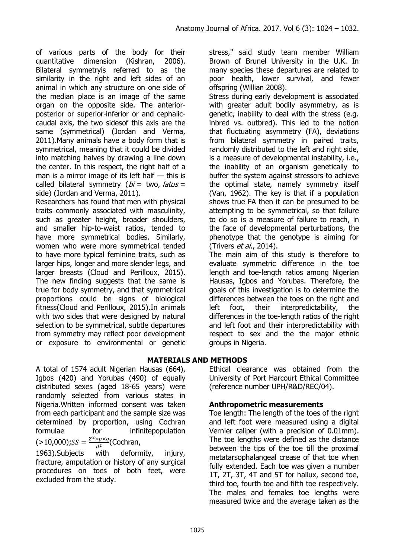of various parts of the body for their quantitative dimension (Kishran, 2006). Bilateral symmetryis referred to as the similarity in the right and left sides of an animal in which any structure on one side of the median place is an image of the same organ on the opposite side. The anteriorposterior or superior-inferior or and cephaliccaudal axis, the two sidesof this axis are the same (symmetrical) (Jordan and Verma, 2011).Many animals have a body form that is symmetrical, meaning that it could be divided into matching halves by drawing a line down the center. In this respect, the right half of a man is a mirror image of its left half  $-$  this is called bilateral symmetry ( $bi =$  two, latus = side) (Jordan and Verma, 2011).

Researchers has found that men with physical traits commonly associated with masculinity, such as greater height, broader shoulders, and smaller hip-to-waist ratios, tended to have more symmetrical bodies. Similarly, women who were more symmetrical tended to have more typical feminine traits, such as larger hips, longer and more slender legs, and larger breasts (Cloud and Perilloux, 2015). The new finding suggests that the same is true for body symmetry, and that symmetrical proportions could be signs of biological fitness(Cloud and Perilloux, 2015).In animals with two sides that were designed by natural selection to be symmetrical, subtle departures from symmetry may reflect poor development or exposure to environmental or genetic

A total of 1574 adult Nigerian Hausas (664), Igbos (420) and Yorubas (490) of equally distributed sexes (aged 18-65 years) were randomly selected from various states in Nigeria.Written informed consent was taken from each participant and the sample size was determined by proportion, using Cochran formulae for infinitepopulation  $(>10,000);$ SS =  $\frac{Z^2 \times p \times q}{d^2}$  $\frac{\lambda p \lambda q}{d^2}$ (Cochran,

1963).Subjects with deformity, injury, fracture, amputation or history of any surgical procedures on toes of both feet, were excluded from the study.

stress," said study team member William Brown of Brunel University in the U.K. In many species these departures are related to poor health, lower survival, and fewer offspring (Willian 2008).

Stress during early development is associated with greater adult bodily asymmetry, as is genetic, inability to deal with the stress (e.g. inbred vs. outbred). This led to the notion that fluctuating asymmetry (FA), deviations from bilateral symmetry in paired traits, randomly distributed to the left and right side, is a measure of developmental instability, i.e., the inability of an organism genetically to buffer the system against stressors to achieve the optimal state, namely symmetry itself (Van, 1962). The key is that if a population shows true FA then it can be presumed to be attempting to be symmetrical, so that failure to do so is a measure of failure to reach, in the face of developmental perturbations, the phenotype that the genotype is aiming for (Trivers *et al.*, 2014).

The main aim of this study is therefore to evaluate symmetric difference in the toe length and toe-length ratios among Nigerian Hausas, Igbos and Yorubas. Therefore, the goals of this investigation is to determine the differences between the toes on the right and left foot, their interpredictability, the differences in the toe-length ratios of the right and left foot and their interpredictability with respect to sex and the the major ethnic groups in Nigeria.

# **MATERIALS AND METHODS**

Ethical clearance was obtained from the University of Port Harcourt Ethical Committee (reference number UPH/R&D/REC/04).

# **Anthropometric measurements**

Toe length: The length of the toes of the right and left foot were measured using a digital Vernier caliper (with a precision of 0.01mm). The toe lengths were defined as the distance between the tips of the toe till the proximal metatarsophalangeal crease of that toe when fully extended. Each toe was given a number 1T, 2T, 3T, 4T and 5T for hallux, second toe, third toe, fourth toe and fifth toe respectively. The males and females toe lengths were measured twice and the average taken as the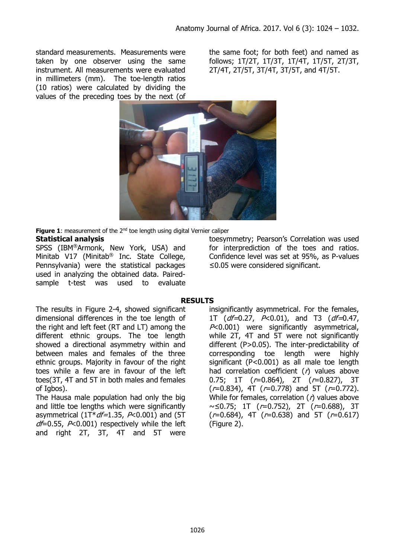standard measurements. Measurements were taken by one observer using the same instrument. All measurements were evaluated in millimeters (mm). The toe-length ratios (10 ratios) were calculated by dividing the values of the preceding toes by the next (of the same foot; for both feet) and named as follows; 1T/2T, 1T/3T, 1T/4T, 1T/5T, 2T/3T, 2T/4T, 2T/5T, 3T/4T, 3T/5T, and 4T/5T.



**Figure 1:** measurement of the 2<sup>nd</sup> toe length using digital Vernier caliper

### **Statistical analysis**

SPSS (IBM®Armonk, New York, USA) and Minitab V17 (Minitab® Inc. State College, Pennsylvania) were the statistical packages used in analyzing the obtained data. Pairedsample t-test was used to evaluate

toesymmetry; Pearson's Correlation was used for interprediction of the toes and ratios. Confidence level was set at 95%, as P-values ≤0.05 were considered significant.

## **RESULTS**

The results in Figure 2-4, showed significant dimensional differences in the toe length of the right and left feet (RT and LT) among the different ethnic groups. The toe length showed a directional asymmetry within and between males and females of the three ethnic groups. Majority in favour of the right toes while a few are in favour of the left toes(3T, 4T and 5T in both males and females of Igbos).

The Hausa male population had only the big and little toe lengths which were significantly asymmetrical ( $1T^*df=1.35$ ,  $P<0.001$ ) and (5T  $df=0.55$ ,  $P<0.001$ ) respectively while the left and right 2T, 3T, 4T and 5T were insignificantly asymmetrical. For the females, 1T ( $df=0.27$ ,  $P<0.01$ ), and T3 ( $df=0.47$ , P<0.001) were significantly asymmetrical, while 2T, 4T and 5T were not significantly different (P>0.05). The inter-predictability of corresponding toe length were highly significant (P<0.001) as all male toe length had correlation coefficient  $(r)$  values above 0.75; 1T  $(r=0.864)$ , 2T  $(r=0.827)$ , 3T  $(r=0.834)$ , 4T  $(r=0.778)$  and 5T  $(r=0.772)$ . While for females, correlation  $($  $)$  values above ~≤0.75; 1T (r=0.752), 2T (r=0.688), 3T  $(r=0.684)$ , 4T  $(r=0.638)$  and 5T  $(r=0.617)$ (Figure 2).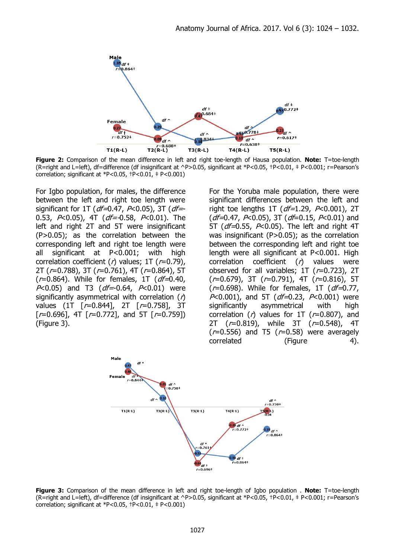

**Figure 2:** Comparison of the mean difference in left and right toe-length of Hausa population. **Note:** T=toe-length (R=right and L=left), df=difference (df insignificant at ^P>0.05, significant at \*P<0.05, †P<0.01, ‡ P<0.001; r=Pearson's correlation; significant at \*P<0.05,  $\text{+P}<0.01$ ,  $\text{+P}<0.001$ )

For Igbo population, for males, the difference between the left and right toe length were significant for 1T ( $df=0.47$ , P<0.05), 3T ( $df=$ -0.53,  $P<sub>0.05</sub>$ , 4T (df=-0.58,  $P<sub>0.01</sub>$ ). The left and right 2T and 5T were insignificant (P>0.05); as the correlation between the corresponding left and right toe length were all significant at P<0.001; with high correlation coefficient ( $r$ ) values; 1T ( $r$ =0.79), 2T (r=0.788), 3T (r=0.761), 4T (r=0.864), 5T  $(r=0.864)$ . While for females, 1T ( $df=0.40$ ,  $P<0.05$ ) and T3 ( $df = 0.64$ ,  $P<0.01$ ) were significantly asymmetrical with correlation  $(r)$ values (1T [r=0.844], 2T [r=0.758], 3T  $[r=0.696]$ , 4T  $[r=0.772]$ , and 5T  $[r=0.759]$ (Figure 3).

For the Yoruba male population, there were significant differences between the left and right toe lengths 1T ( $df=1.29$ ,  $P<0.001$ ), 2T  $(df=0.47, P<0.05)$ , 3T  $(df=0.15, P<0.01)$  and 5T ( $df=0.55$ ,  $P<0.05$ ). The left and right 4T was insignificant (P>0.05); as the correlation between the corresponding left and right toe length were all significant at P<0.001. High correlation coefficient  $(r)$  values were observed for all variables;  $1T$  ( $r=0.723$ ),  $2T$  $(r=0.679)$ , 3T  $(r=0.791)$ , 4T  $(r=0.816)$ , 5T  $(r=0.698)$ . While for females, 1T (*df=*0.77,  $P<0.001$ ), and 5T ( $df=0.23$ ,  $P<0.001$ ) were significantly asymmetrical with high correlation ( $r$ ) values for 1T ( $r=0.807$ ), and 2T (r=0.819), while 3T (r=0.548), 4T  $(r=0.556)$  and T5  $(r=0.58)$  were averagely correlated (Figure 4).



**Figure 3:** Comparison of the mean difference in left and right toe-length of Igbo population . **Note:** T=toe-length (R=right and L=left), df=difference (df insignificant at ^P>0.05, significant at \*P<0.05, †P<0.01, ‡ P<0.001; r=Pearson's correlation; significant at \*P<0.05,  $\text{+P}<0.01$ ,  $\text{+P}<0.001$ )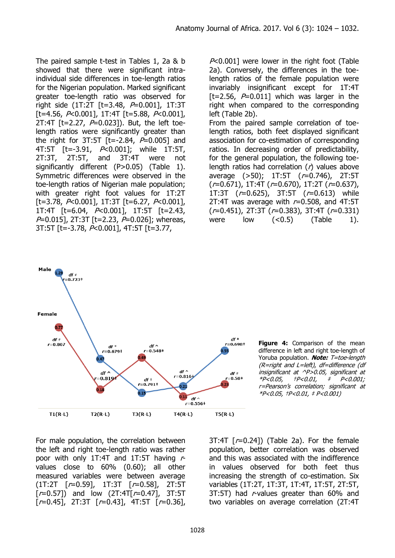The paired sample t-test in Tables 1, 2a & b showed that there were significant intraindividual side differences in toe-length ratios for the Nigerian population. Marked significant greater toe-length ratio was observed for right side (1T:2T [t=3.48, P=0.001], 1T:3T  $[t=4.56, P<0.001$ , 1T:4T  $[t=5.88, P<0.001$ , 2T:4T  $[t=2.27, P=0.023]$ . But, the left toelength ratios were significantly greater than the right for 3T:5T  $[t=-2.84, P=0.005]$  and 4T:5T [t=-3.91, P<0.001]; while 1T:5T, 2T:3T, 2T:5T, and 3T:4T were not significantly different (P>0.05) (Table 1). Symmetric differences were observed in the toe-length ratios of Nigerian male population; with greater right foot values for 1T:2T  $[t=3.78, P<0.001$ , 1T:3T  $[t=6.27, P<0.001$ , 1T:4T [t=6.04, P<0.001], 1T:5T [t=2.43,  $P=0.015$ ], 2T:3T [t=2.23,  $P=0.026$ ]; whereas, 3T:5T [t=-3.78, P<0.001], 4T:5T [t=3.77,

 $P<0.001$ ] were lower in the right foot (Table 2a). Conversely, the differences in the toelength ratios of the female population were invariably insignificant except for 1T:4T [t=2.56,  $P=0.011$ ] which was larger in the right when compared to the corresponding left (Table 2b). From the paired sample correlation of toelength ratios, both feet displayed significant association for co-estimation of corresponding ratios. In decreasing order of predictability, for the general population, the following toelength ratios had correlation  $(r)$  values above average (>50); 1T:5T (r=0.746), 2T:5T  $(r=0.671)$ , 1T:4T  $(r=0.670)$ , 1T:2T  $(r=0.637)$ , 1T:3T (r=0.625), 3T:5T (r=0.613) while 2T:4T was average with  $r=0.508$ , and 4T:5T  $(r=0.451)$ , 2T:3T ( $r=0.383$ ), 3T:4T ( $r=0.331$ ) were low  $( $0.5$ )$  (Table 1).



**Figure 4:** Comparison of the mean difference in left and right toe-length of Yoruba population. **Note:** T=toe-length (R=right and L=left), df=difference (df insignificant at ^P>0.05, significant at \*P<0.05, †P<0.01, ‡ P<0.001; r=Pearson's correlation; significant at \*P<0.05, †P<0.01, ‡ P<0.001)

For male population, the correlation between the left and right toe-length ratio was rather poor with only 1T:4T and 1T:5T having  $r$ values close to 60% (0.60); all other measured variables were between average (1T:2T [r=0.59], 1T:3T [r=0.58], 2T:5T  $[r=0.57]$ ) and low  $(2T:4T[r=0.47], 3T:5T)$  $[r=0.45]$ , 2T:3T  $[r=0.43]$ , 4T:5T  $[r=0.36]$ ,  $3T:4T$   $[r=0.24]$  (Table 2a). For the female population, better correlation was observed and this was associated with the indifference in values observed for both feet thus increasing the strength of co-estimation. Six variables (1T:2T, 1T:3T, 1T:4T, 1T:5T, 2T:5T, 3T:5T) had r-values greater than 60% and two variables on average correlation (2T:4T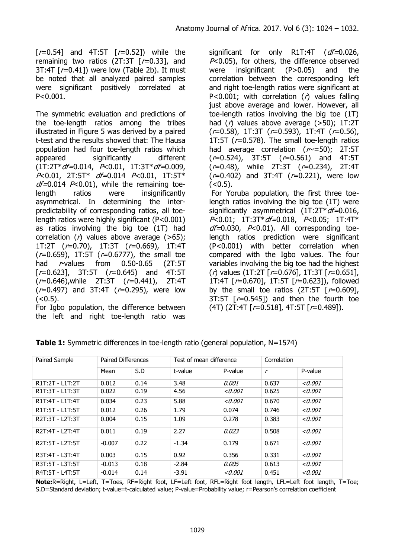$[r=0.54]$  and 4T:5T  $[r=0.52]$ ) while the remaining two ratios  $(2T:3T \mid r=0.33]$ , and 3T:4T  $[r=0.41]$ ) were low (Table 2b). It must be noted that all analyzed paired samples were significant positively correlated at P<0.001.

The symmetric evaluation and predictions of the toe-length ratios among the tribes illustrated in Figure 5 was derived by a paired t-test and the results showed that: The Hausa population had four toe-length ratios which appeared significantly different  $(1T:2T^*df=0.014, P<0.01, 1T:3T^*df=0.009,$ P<0.01, 2T:5T\* *df=*0.014 P<0.01, 1T:5T\*  $df=0.014$  P<0.01), while the remaining toelength ratios were insignificantly asymmetrical. In determining the interpredictability of corresponding ratios, all toelength ratios were highly significant (P<0.001) as ratios involving the big toe (1T) had correlation  $(r)$  values above average  $(>65)$ ; 1T:2T (r=0.70), 1T:3T (r=0.669), 1T:4T  $(r=0.659)$ , 1T:5T  $(r=0.6777)$ , the small toe had r-values from 0.50-0.65 (2T:5T  $[r=0.623]$ , 3T:5T  $(r=0.645)$  and 4T:5T (r=0.646),while 2T:3T (r=0.441), 2T:4T  $(r=0.497)$  and 3T:4T  $(r=0.295)$ , were low  $(< 0.5).$ 

For Igbo population, the difference between the left and right toe-length ratio was significant for only R1T:4T (df=0.026,  $P<0.05$ ), for others, the difference observed were insignificant  $(P>0.05)$  and the correlation between the corresponding left and right toe-length ratios were significant at P<0.001; with correlation  $(r)$  values falling just above average and lower. However, all toe-length ratios involving the big toe (1T) had  $(\Lambda)$  values above average ( $>50$ ); 1T:2T  $(r=0.58)$ , 1T:3T  $(r=0.593)$ , 1T:4T  $(r=0.56)$ , 1T:5T ( $r=0.578$ ). The small toe-length ratios had average correlation  $(r\sim=50)$ ; 2T:5T  $(r=0.524)$ , 3T:5T  $(r=0.561)$  and 4T:5T  $(r=0.48)$ , while 2T:3T  $(r=0.234)$ , 2T:4T  $(r=0.402)$  and 3T:4T  $(r=0.221)$ , were low  $(<0.5)$ .

For Yoruba population, the first three toelength ratios involving the big toe (1T) were significantly asymmetrical  $(1T:2T^*df=0.016,$ P<0.01; 1T:3T\*df=0.018, P<0.05; 1T:4T\*  $df=0.030$ ,  $P<0.01$ ). All corresponding toelength ratios prediction were significant (P<0.001) with better correlation when compared with the Igbo values. The four variables involving the big toe had the highest  $(r)$  values (1T:2T [ $r=0.676$ ], 1T:3T [ $r=0.651$ ], 1T:4T [r=0.670], 1T:5T [r=0.623]), followed by the small toe ratios  $(2T:5T \mid r=0.609]$ ,  $3T:5T$   $[r=0.545]$  and then the fourth toe  $(4T)$  (2T:4T  $[r=0.518]$ , 4T:5T  $[r=0.489]$ ).

| Paired Sample   | <b>Paired Differences</b> |      | Test of mean difference |         | Correlation                 |         |
|-----------------|---------------------------|------|-------------------------|---------|-----------------------------|---------|
|                 | Mean                      | S.D  | t-value                 | P-value | $\mathcal{L}_{\mathcal{L}}$ | P-value |
| R1T:2T - L1T:2T | 0.012                     | 0.14 | 3.48                    | 0.001   | 0.637                       | < 0.001 |
| R1T:3T - L1T:3T | 0.022                     | 0.19 | 4.56                    | <0.001  | 0.625                       | <0.001  |
| R1T:4T - L1T:4T | 0.034                     | 0.23 | 5.88                    | < 0.001 | 0.670                       | <0.001  |
| R1T:5T - L1T:5T | 0.012                     | 0.26 | 1.79                    | 0.074   | 0.746                       | < 0.001 |
| R2T:3T - L2T:3T | 0.004                     | 0.15 | 1.09                    | 0.278   | 0.383                       | < 0.001 |
| R2T:4T - L2T:4T | 0.011                     | 0.19 | 2.27                    | 0.023   | 0.508                       | < 0.001 |
| R2T:5T - L2T:5T | $-0.007$                  | 0.22 | $-1.34$                 | 0.179   | 0.671                       | < 0.001 |
| R3T:4T - L3T:4T | 0.003                     | 0.15 | 0.92                    | 0.356   | 0.331                       | < 0.001 |
| R3T:5T - L3T:5T | $-0.013$                  | 0.18 | $-2.84$                 | 0.005   | 0.613                       | < 0.001 |
| R4T:5T - L4T:5T | $-0.014$                  | 0.14 | $-3.91$                 | < 0.001 | 0.451                       | < 0.001 |

**Table 1:** Symmetric differences in toe-length ratio (general population, N=1574)

**Note:**R=Right, L=Left, T=Toes, RF=Right foot, LF=Left foot, RFL=Right foot length, LFL=Left foot length, T=Toe; S.D=Standard deviation; t-value=t-calculated value; P-value=Probability value; r=Pearson's correlation coefficient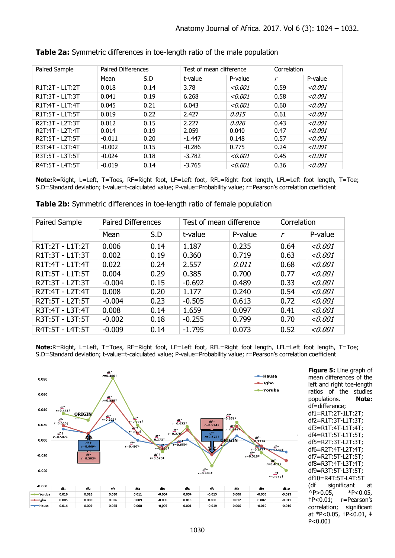| Paired Sample   | <b>Paired Differences</b> |      | Test of mean difference |         | Correlation   |         |
|-----------------|---------------------------|------|-------------------------|---------|---------------|---------|
|                 | Mean                      | S.D  | t-value                 | P-value | $\mathcal{r}$ | P-value |
| R1T:2T - L1T:2T | 0.018                     | 0.14 | 3.78                    | < 0.001 | 0.59          | < 0.001 |
| R1T:3T - L1T:3T | 0.041                     | 0.19 | 6.268                   | < 0.001 | 0.58          | < 0.001 |
| R1T:4T - L1T:4T | 0.045                     | 0.21 | 6.043                   | < 0.001 | 0.60          | < 0.001 |
| R1T:5T - L1T:5T | 0.019                     | 0.22 | 2.427                   | 0.015   | 0.61          | < 0.001 |
| R2T:3T - L2T:3T | 0.012                     | 0.15 | 2.227                   | 0.026   | 0.43          | < 0.001 |
| R2T:4T - L2T:4T | 0.014                     | 0.19 | 2.059                   | 0.040   | 0.47          | < 0.001 |
| R2T:5T - L2T:5T | $-0.011$                  | 0.20 | $-1.447$                | 0.148   | 0.57          | < 0.001 |
| R3T:4T - L3T:4T | $-0.002$                  | 0.15 | $-0.286$                | 0.775   | 0.24          | < 0.001 |
| R3T:5T - L3T:5T | $-0.024$                  | 0.18 | $-3.782$                | < 0.001 | 0.45          | < 0.001 |
| R4T:5T - L4T:5T | $-0.019$                  | 0.14 | $-3.765$                | < 0.001 | 0.36          | < 0.001 |

### **Table 2a:** Symmetric differences in toe-length ratio of the male population

**Note:**R=Right, L=Left, T=Toes, RF=Right foot, LF=Left foot, RFL=Right foot length, LFL=Left foot length, T=Toe; S.D=Standard deviation; t-value=t-calculated value; P-value=Probability value; r=Pearson's correlation coefficient

| Paired Sample   | <b>Paired Differences</b> |      | Test of mean difference |         | Correlation   |         |
|-----------------|---------------------------|------|-------------------------|---------|---------------|---------|
|                 | Mean                      | S.D  | t-value                 | P-value | $\mathcal{r}$ | P-value |
| R1T:2T - L1T:2T | 0.006                     | 0.14 | 1.187                   | 0.235   | 0.64          | < 0.001 |
| R1T:3T - L1T:3T | 0.002                     | 0.19 | 0.360                   | 0.719   | 0.63          | < 0.001 |
| R1T:4T - L1T:4T | 0.022                     | 0.24 | 2.557                   | 0.011   | 0.68          | < 0.001 |
| R1T:5T - L1T:5T | 0.004                     | 0.29 | 0.385                   | 0.700   | 0.77          | < 0.001 |
| R2T:3T - L2T:3T | $-0.004$                  | 0.15 | $-0.692$                | 0.489   | 0.33          | < 0.001 |
| R2T:4T - L2T:4T | 0.008                     | 0.20 | 1.177                   | 0.240   | 0.54          | < 0.001 |
| R2T:5T - L2T:5T | $-0.004$                  | 0.23 | $-0.505$                | 0.613   | 0.72          | < 0.001 |
| R3T:4T - L3T:4T | 0.008                     | 0.14 | 1.659                   | 0.097   | 0.41          | < 0.001 |
| R3T:5T - L3T:5T | $-0.002$                  | 0.18 | $-0.255$                | 0.799   | 0.70          | < 0.001 |
| R4T:5T - L4T:5T | $-0.009$                  | 0.14 | $-1.795$                | 0.073   | 0.52          | < 0.001 |

**Table 2b:** Symmetric differences in toe-length ratio of female population

**Note:**R=Right, L=Left, T=Toes, RF=Right foot, LF=Left foot, RFL=Right foot length, LFL=Left foot length, T=Toe; S.D=Standard deviation; t-value=t-calculated value; P-value=Probability value; r=Pearson's correlation coefficient



**Figure 5:** Line graph of mean differences of the left and right toe-length ratios of the studies populations. **Note:** df=difference; df1=R1T:2T-1LT:2T; df2=R1T:3T-L1T:3T; df3=R1T:4T-L1T:4T; df4=R1T:5T-L1T:5T; df5=R2T:3T-L2T:3T; df6=R2T:4T-L2T:4T; df7=R2T:5T-L2T:5T; df8=R3T:4T-L3T:4T; df9=R3T:5T-L3T:5T; df10=R4T:5T-L4T:5T (df significant at  $\text{P} > 0.05$ , \*P<0.05, †P<0.01; r=Pearson's correlation; significant at \*P<0.05, †P<0.01, ‡ P<0.001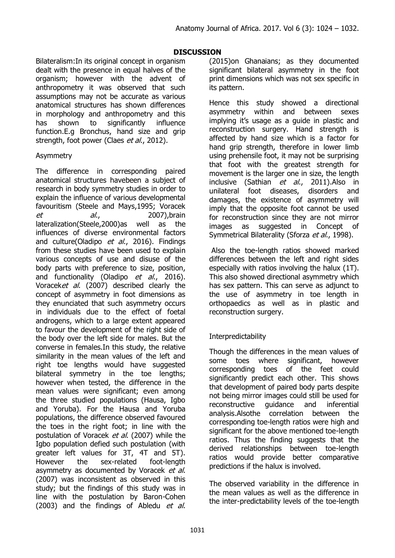## **DISCUSSION**

Bilateralism:In its original concept in organism dealt with the presence in equal halves of the organism; however with the advent of anthropometry it was observed that such assumptions may not be accurate as various anatomical structures has shown differences in morphology and anthropometry and this has shown to significantly influence function.E.g Bronchus, hand size and grip strength, foot power (Claes et al., 2012).

## Asymmetry

The difference in corresponding paired anatomical structures havebeen a subject of research in body symmetry studies in order to explain the influence of various developmental favouritism (Steele and Mays,1995; Voracek et al., 2007), brain lateralization(Steele,2000)as well as the influences of diverse environmental factors and culture(Oladipo et al., 2016). Findings from these studies have been used to explain various concepts of use and disuse of the body parts with preference to size, position, and functionality (Oladipo et al., 2016). Voraceket al. (2007) described clearly the concept of asymmetry in foot dimensions as they enunciated that such asymmetry occurs in individuals due to the effect of foetal androgens, which to a large extent appeared to favour the development of the right side of the body over the left side for males. But the converse in females.In this study, the relative similarity in the mean values of the left and right toe lengths would have suggested bilateral symmetry in the toe lengths; however when tested, the difference in the mean values were significant; even among the three studied populations (Hausa, Igbo and Yoruba). For the Hausa and Yoruba populations, the difference observed favoured the toes in the right foot; in line with the postulation of Voracek et al. (2007) while the Igbo population defied such postulation (with greater left values for 3T, 4T and 5T). However the sex-related foot-length asymmetry as documented by Voracek et al. (2007) was inconsistent as observed in this study; but the findings of this study was in line with the postulation by Baron-Cohen (2003) and the findings of Abledu et al.

(2015)on Ghanaians; as they documented significant bilateral asymmetry in the foot print dimensions which was not sex specific in its pattern.

Hence this study showed a directional asymmetry within and between sexes implying it's usage as a guide in plastic and reconstruction surgery. Hand strength is affected by hand size which is a factor for hand grip strength, therefore in lower limb using prehensile foot, it may not be surprising that foot with the greatest strength for movement is the larger one in size, the length inclusive (Sathian et al., 2011). Also in unilateral foot diseases, disorders and damages, the existence of asymmetry will imply that the opposite foot cannot be used for reconstruction since they are not mirror images as suggested in Concept of Symmetrical Bilaterality (Sforza et al., 1998).

Also the toe-length ratios showed marked differences between the left and right sides especially with ratios involving the halux (1T). This also showed directional asymmetry which has sex pattern. This can serve as adjunct to the use of asymmetry in toe length in orthopaedics as well as in plastic and reconstruction surgery.

# **Interpredictability**

Though the differences in the mean values of some toes where significant, however corresponding toes of the feet could significantly predict each other. This shows that development of paired body parts despite not being mirror images could still be used for reconstructive guidance and inferential analysis.Alsothe correlation between the corresponding toe-length ratios were high and significant for the above mentioned toe-length ratios. Thus the finding suggests that the derived relationships between toe-length ratios would provide better comparative predictions if the halux is involved.

The observed variability in the difference in the mean values as well as the difference in the inter-predictability levels of the toe-length